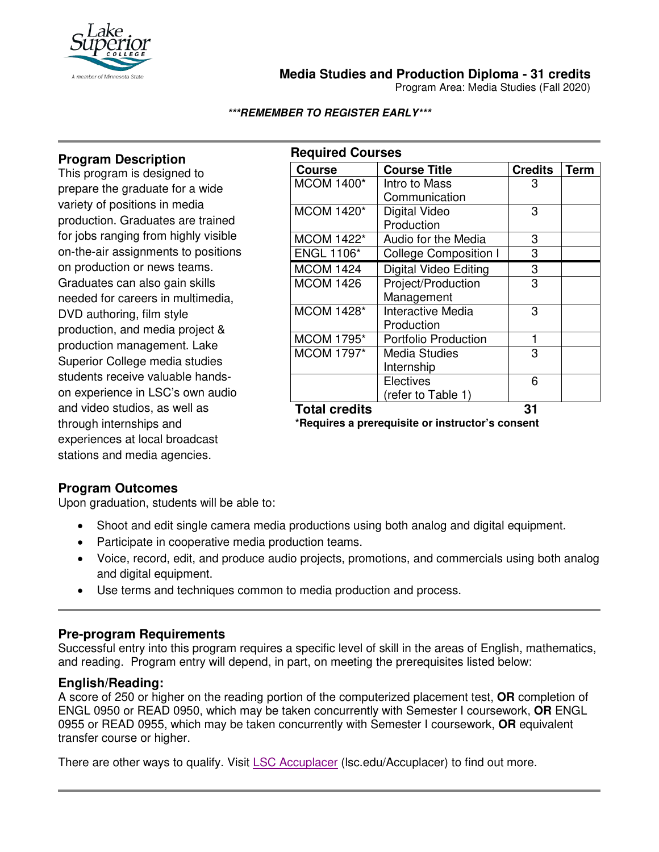

**Media Studies and Production Diploma - 31 credits**

Program Area: Media Studies (Fall 2020)

#### **\*\*\*REMEMBER TO REGISTER EARLY\*\*\***

# **Program Description**

This program is designed to prepare the graduate for a wide variety of positions in media production. Graduates are trained for jobs ranging from highly visible on-the-air assignments to positions on production or news teams. Graduates can also gain skills needed for careers in multimedia, DVD authoring, film style production, and media project & production management. Lake Superior College media studies students receive valuable handson experience in LSC's own audio and video studios, as well as through internships and experiences at local broadcast stations and media agencies.

| <b>Required Courses</b> |                              |                |      |  |
|-------------------------|------------------------------|----------------|------|--|
| <b>Course</b>           | <b>Course Title</b>          | <b>Credits</b> | Term |  |
| <b>MCOM 1400*</b>       | Intro to Mass                | 3              |      |  |
|                         | Communication                |                |      |  |
| <b>MCOM 1420*</b>       | Digital Video                | 3              |      |  |
|                         | Production                   |                |      |  |
| <b>MCOM 1422*</b>       | Audio for the Media          | 3              |      |  |
| <b>ENGL 1106*</b>       | <b>College Composition I</b> | 3              |      |  |
| <b>MCOM 1424</b>        | <b>Digital Video Editing</b> | 3              |      |  |
| <b>MCOM 1426</b>        | Project/Production           | 3              |      |  |
|                         | Management                   |                |      |  |
| <b>MCOM 1428*</b>       | Interactive Media            | 3              |      |  |
|                         | Production                   |                |      |  |
| <b>MCOM 1795*</b>       | <b>Portfolio Production</b>  | 1              |      |  |
| <b>MCOM 1797*</b>       | <b>Media Studies</b>         | 3              |      |  |
|                         | Internship                   |                |      |  |
|                         | Electives                    | 6              |      |  |
|                         | (refer to Table 1)           |                |      |  |
| <b>Total credits</b>    |                              | 31             |      |  |

**\*Requires a prerequisite or instructor's consent**

### **Program Outcomes**

Upon graduation, students will be able to:

- Shoot and edit single camera media productions using both analog and digital equipment.
- Participate in cooperative media production teams.
- Voice, record, edit, and produce audio projects, promotions, and commercials using both analog and digital equipment.
- Use terms and techniques common to media production and process.

### **Pre-program Requirements**

Successful entry into this program requires a specific level of skill in the areas of English, mathematics, and reading. Program entry will depend, in part, on meeting the prerequisites listed below:

### **English/Reading:**

A score of 250 or higher on the reading portion of the computerized placement test, **OR** completion of ENGL 0950 or READ 0950, which may be taken concurrently with Semester I coursework, **OR** ENGL 0955 or READ 0955, which may be taken concurrently with Semester I coursework, **OR** equivalent transfer course or higher.

There are other ways to qualify. Visit [LSC Accuplacer](https://www.lsc.edu/accuplacer/) (Isc.edu/Accuplacer) to find out more.